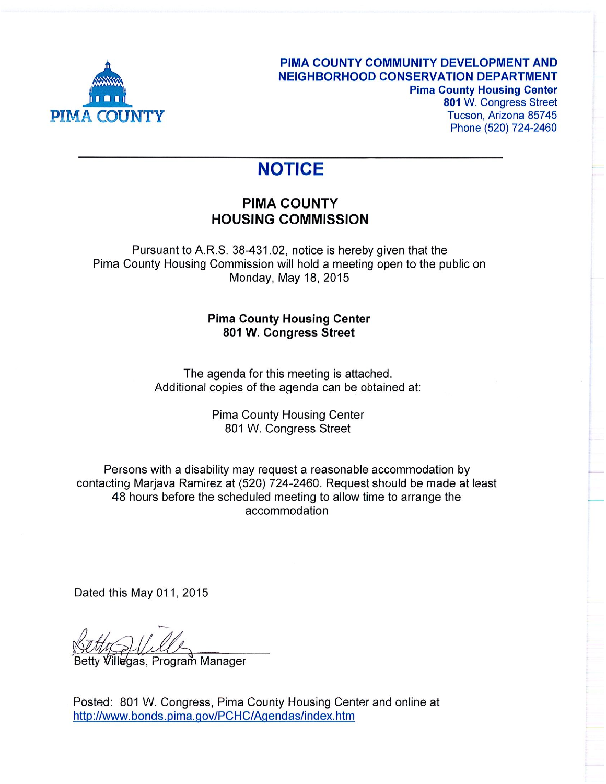

## **NOTICE**

## **PIMA COUNTY HOUSING COMMISSION**

Pursuant to A.R.S. 38-431.02, notice is hereby given that the Pima County Housing Commission will hold a meeting open to the public on Monday, May 18, 2015

## **Pima County Housing Center** 801 W. Congress Street

The agenda for this meeting is attached. Additional copies of the agenda can be obtained at:

> **Pima County Housing Center** 801 W. Congress Street

Persons with a disability may request a reasonable accommodation by contacting Marjava Ramirez at (520) 724-2460. Request should be made at least 48 hours before the scheduled meeting to allow time to arrange the accommodation

Dated this May 011, 2015

Villegas, Program̃ Manager

Posted: 801 W. Congress, Pima County Housing Center and online at http://www.bonds.pima.gov/PCHC/Agendas/index.htm